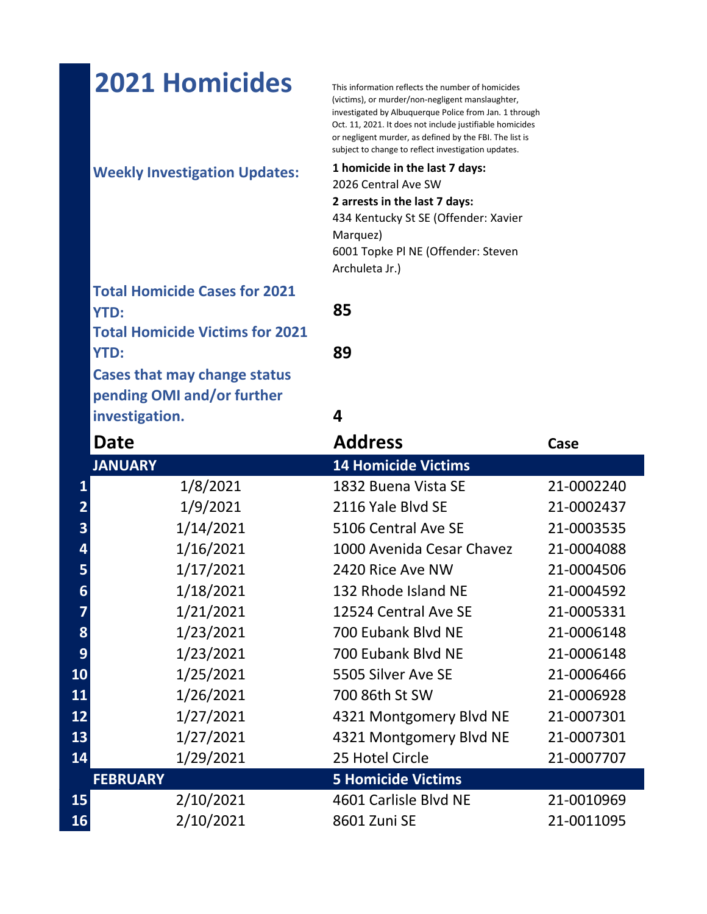|                 | <b>2021 Homicides</b>                  | This information reflects the number of homicides<br>(victims), or murder/non-negligent manslaughter,<br>investigated by Albuquerque Police from Jan. 1 through<br>Oct. 11, 2021. It does not include justifiable homicides<br>or negligent murder, as defined by the FBI. The list is<br>subject to change to reflect investigation updates. |            |
|-----------------|----------------------------------------|-----------------------------------------------------------------------------------------------------------------------------------------------------------------------------------------------------------------------------------------------------------------------------------------------------------------------------------------------|------------|
|                 | <b>Weekly Investigation Updates:</b>   | 1 homicide in the last 7 days:<br>2026 Central Ave SW<br>2 arrests in the last 7 days:<br>434 Kentucky St SE (Offender: Xavier<br>Marquez)<br>6001 Topke PI NE (Offender: Steven<br>Archuleta Jr.)                                                                                                                                            |            |
|                 | <b>Total Homicide Cases for 2021</b>   |                                                                                                                                                                                                                                                                                                                                               |            |
|                 | <b>YTD:</b>                            | 85                                                                                                                                                                                                                                                                                                                                            |            |
|                 | <b>Total Homicide Victims for 2021</b> |                                                                                                                                                                                                                                                                                                                                               |            |
|                 | <b>YTD:</b>                            | 89                                                                                                                                                                                                                                                                                                                                            |            |
|                 | <b>Cases that may change status</b>    |                                                                                                                                                                                                                                                                                                                                               |            |
|                 | pending OMI and/or further             |                                                                                                                                                                                                                                                                                                                                               |            |
|                 | investigation.                         | 4                                                                                                                                                                                                                                                                                                                                             |            |
|                 | Date                                   | <b>Address</b>                                                                                                                                                                                                                                                                                                                                | Case       |
|                 | <b>JANUARY</b>                         | <b>14 Homicide Victims</b>                                                                                                                                                                                                                                                                                                                    |            |
| 1               | 1/8/2021                               | 1832 Buena Vista SE                                                                                                                                                                                                                                                                                                                           | 21-0002240 |
|                 | 1/9/2021<br>$\overline{\mathbf{2}}$    | 2116 Yale Blvd SE                                                                                                                                                                                                                                                                                                                             | 21-0002437 |
|                 | 1/14/2021<br>3                         | 5106 Central Ave SE                                                                                                                                                                                                                                                                                                                           | 21-0003535 |
|                 | 1/16/2021<br>4                         | 1000 Avenida Cesar Chavez                                                                                                                                                                                                                                                                                                                     | 21-0004088 |
|                 | 1/17/2021<br>5                         | 2420 Rice Ave NW                                                                                                                                                                                                                                                                                                                              | 21-0004506 |
|                 | 1/18/2021<br>6                         | 132 Rhode Island NE                                                                                                                                                                                                                                                                                                                           | 21-0004592 |
|                 | 1/21/2021<br>7                         | 12524 Central Ave SE                                                                                                                                                                                                                                                                                                                          | 21-0005331 |
|                 | 8<br>1/23/2021                         | 700 Eubank Blvd NE                                                                                                                                                                                                                                                                                                                            | 21-0006148 |
| 9               | 1/23/2021                              | 700 Eubank Blvd NE                                                                                                                                                                                                                                                                                                                            | 21-0006148 |
| 10 <sub>1</sub> | 1/25/2021                              | 5505 Silver Ave SE                                                                                                                                                                                                                                                                                                                            | 21-0006466 |
| 11              | 1/26/2021                              | 700 86th St SW                                                                                                                                                                                                                                                                                                                                | 21-0006928 |
| 12              | 1/27/2021                              | 4321 Montgomery Blvd NE                                                                                                                                                                                                                                                                                                                       | 21-0007301 |
| 13              | 1/27/2021                              | 4321 Montgomery Blvd NE                                                                                                                                                                                                                                                                                                                       | 21-0007301 |
| 14              | 1/29/2021                              | 25 Hotel Circle                                                                                                                                                                                                                                                                                                                               | 21-0007707 |
|                 | <b>FEBRUARY</b>                        | <b>5 Homicide Victims</b>                                                                                                                                                                                                                                                                                                                     |            |
| <b>15</b>       | 2/10/2021                              | 4601 Carlisle Blvd NE                                                                                                                                                                                                                                                                                                                         | 21-0010969 |
| <b>16</b>       | 2/10/2021                              | 8601 Zuni SE                                                                                                                                                                                                                                                                                                                                  | 21-0011095 |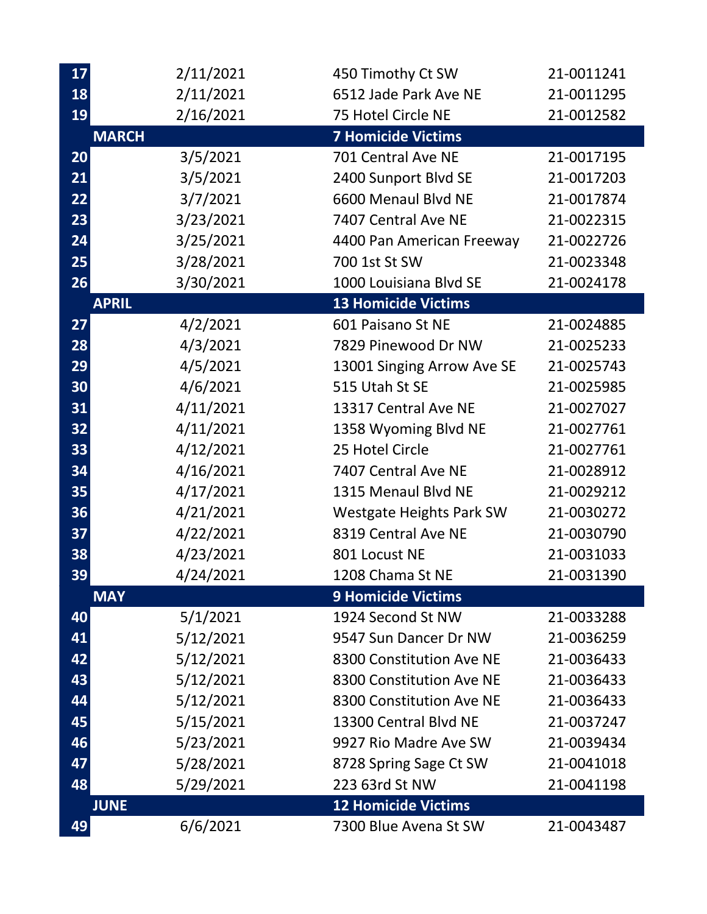| 17 | 2/11/2021    | 450 Timothy Ct SW          | 21-0011241 |
|----|--------------|----------------------------|------------|
| 18 | 2/11/2021    | 6512 Jade Park Ave NE      | 21-0011295 |
| 19 | 2/16/2021    | 75 Hotel Circle NE         | 21-0012582 |
|    | <b>MARCH</b> | <b>7 Homicide Victims</b>  |            |
| 20 | 3/5/2021     | 701 Central Ave NE         | 21-0017195 |
| 21 | 3/5/2021     | 2400 Sunport Blvd SE       | 21-0017203 |
| 22 | 3/7/2021     | 6600 Menaul Blvd NE        | 21-0017874 |
| 23 | 3/23/2021    | 7407 Central Ave NE        | 21-0022315 |
| 24 | 3/25/2021    | 4400 Pan American Freeway  | 21-0022726 |
| 25 | 3/28/2021    | 700 1st St SW              | 21-0023348 |
| 26 | 3/30/2021    | 1000 Louisiana Blvd SE     | 21-0024178 |
|    | <b>APRIL</b> | <b>13 Homicide Victims</b> |            |
| 27 | 4/2/2021     | 601 Paisano St NE          | 21-0024885 |
| 28 | 4/3/2021     | 7829 Pinewood Dr NW        | 21-0025233 |
| 29 | 4/5/2021     | 13001 Singing Arrow Ave SE | 21-0025743 |
| 30 | 4/6/2021     | 515 Utah St SE             | 21-0025985 |
| 31 | 4/11/2021    | 13317 Central Ave NE       | 21-0027027 |
| 32 | 4/11/2021    | 1358 Wyoming Blvd NE       | 21-0027761 |
| 33 | 4/12/2021    | 25 Hotel Circle            | 21-0027761 |
| 34 | 4/16/2021    | 7407 Central Ave NE        | 21-0028912 |
| 35 | 4/17/2021    | 1315 Menaul Blvd NE        | 21-0029212 |
| 36 | 4/21/2021    | Westgate Heights Park SW   | 21-0030272 |
| 37 | 4/22/2021    | 8319 Central Ave NE        | 21-0030790 |
| 38 | 4/23/2021    | 801 Locust NE              | 21-0031033 |
| 39 | 4/24/2021    | 1208 Chama St NE           | 21-0031390 |
|    | <b>MAY</b>   | <b>9 Homicide Victims</b>  |            |
| 40 | 5/1/2021     | 1924 Second St NW          | 21-0033288 |
| 41 | 5/12/2021    | 9547 Sun Dancer Dr NW      | 21-0036259 |
| 42 | 5/12/2021    | 8300 Constitution Ave NE   | 21-0036433 |
| 43 | 5/12/2021    | 8300 Constitution Ave NE   | 21-0036433 |
| 44 | 5/12/2021    | 8300 Constitution Ave NE   | 21-0036433 |
| 45 | 5/15/2021    | 13300 Central Blvd NE      | 21-0037247 |
| 46 | 5/23/2021    | 9927 Rio Madre Ave SW      | 21-0039434 |
| 47 | 5/28/2021    | 8728 Spring Sage Ct SW     | 21-0041018 |
| 48 | 5/29/2021    | 223 63rd St NW             | 21-0041198 |
|    | <b>JUNE</b>  | <b>12 Homicide Victims</b> |            |
| 49 | 6/6/2021     | 7300 Blue Avena St SW      | 21-0043487 |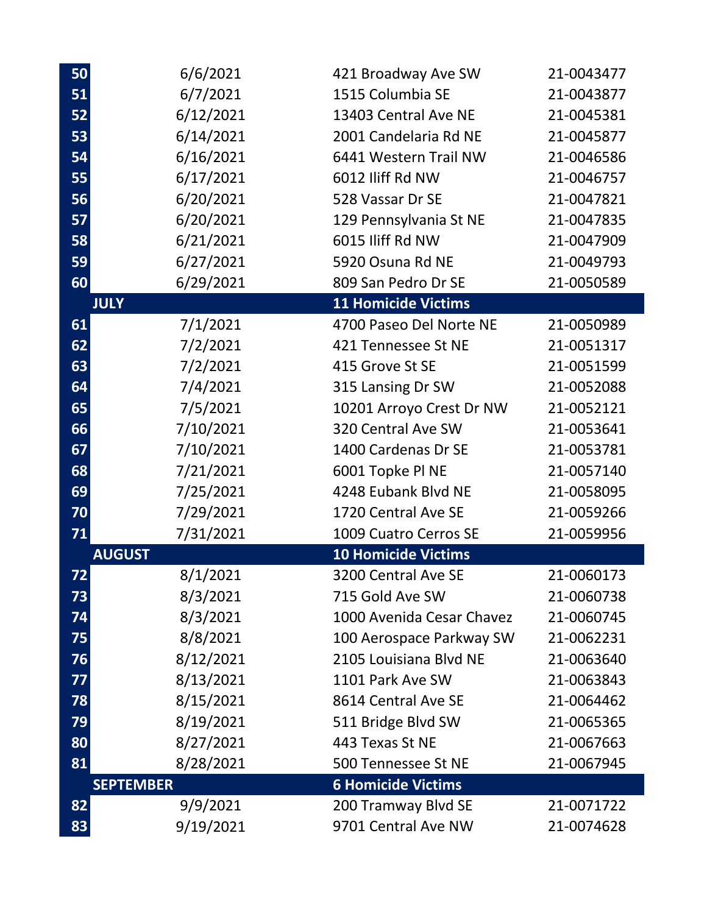| 50 | 6/6/2021         | 421 Broadway Ave SW        | 21-0043477 |
|----|------------------|----------------------------|------------|
| 51 | 6/7/2021         | 1515 Columbia SE           | 21-0043877 |
| 52 | 6/12/2021        | 13403 Central Ave NE       | 21-0045381 |
| 53 | 6/14/2021        | 2001 Candelaria Rd NE      | 21-0045877 |
| 54 | 6/16/2021        | 6441 Western Trail NW      | 21-0046586 |
| 55 | 6/17/2021        | 6012 Iliff Rd NW           | 21-0046757 |
| 56 | 6/20/2021        | 528 Vassar Dr SE           | 21-0047821 |
| 57 | 6/20/2021        | 129 Pennsylvania St NE     | 21-0047835 |
| 58 | 6/21/2021        | 6015 Iliff Rd NW           | 21-0047909 |
| 59 | 6/27/2021        | 5920 Osuna Rd NE           | 21-0049793 |
| 60 | 6/29/2021        | 809 San Pedro Dr SE        | 21-0050589 |
|    | <b>JULY</b>      | <b>11 Homicide Victims</b> |            |
| 61 | 7/1/2021         | 4700 Paseo Del Norte NE    | 21-0050989 |
| 62 | 7/2/2021         | 421 Tennessee St NE        | 21-0051317 |
| 63 | 7/2/2021         | 415 Grove St SE            | 21-0051599 |
| 64 | 7/4/2021         | 315 Lansing Dr SW          | 21-0052088 |
| 65 | 7/5/2021         | 10201 Arroyo Crest Dr NW   | 21-0052121 |
| 66 | 7/10/2021        | 320 Central Ave SW         | 21-0053641 |
| 67 | 7/10/2021        | 1400 Cardenas Dr SE        | 21-0053781 |
| 68 | 7/21/2021        | 6001 Topke Pl NE           | 21-0057140 |
| 69 | 7/25/2021        | 4248 Eubank Blvd NE        | 21-0058095 |
| 70 | 7/29/2021        | 1720 Central Ave SE        | 21-0059266 |
| 71 | 7/31/2021        | 1009 Cuatro Cerros SE      | 21-0059956 |
|    | <b>AUGUST</b>    | <b>10 Homicide Victims</b> |            |
| 72 | 8/1/2021         | 3200 Central Ave SE        | 21-0060173 |
| 73 | 8/3/2021         | 715 Gold Ave SW            | 21-0060738 |
| 74 | 8/3/2021         | 1000 Avenida Cesar Chavez  | 21-0060745 |
| 75 | 8/8/2021         | 100 Aerospace Parkway SW   | 21-0062231 |
| 76 | 8/12/2021        | 2105 Louisiana Blvd NE     | 21-0063640 |
| 77 | 8/13/2021        | 1101 Park Ave SW           | 21-0063843 |
| 78 | 8/15/2021        | 8614 Central Ave SE        | 21-0064462 |
| 79 | 8/19/2021        | 511 Bridge Blvd SW         | 21-0065365 |
| 80 | 8/27/2021        | 443 Texas St NE            | 21-0067663 |
| 81 | 8/28/2021        | 500 Tennessee St NE        | 21-0067945 |
|    | <b>SEPTEMBER</b> | <b>6 Homicide Victims</b>  |            |
| 82 | 9/9/2021         | 200 Tramway Blvd SE        | 21-0071722 |
| 83 | 9/19/2021        | 9701 Central Ave NW        | 21-0074628 |